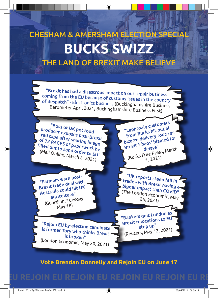## THE LAND OF BREXIT MAKE BELIEVE **BUCKS SWIZZ** CHESHAM & AMERSHAM ELECTION SPECIAL

 $\bigoplus$ 

"Brexit has had a disastrous impact on our repair business coming from the EU because of customs issues in the country of despatch" - Electronics business (Buckinghamshire Business Barometer April 2021, Buckinghamshire Business First)

"Boss of UK pet food producer exposes post-Brexit red tape after sharing image of 72 PAGES of paperwork he filled out to send order to EU" (Mail Online, March 2, 2021)

"Laphroaig customers from Bucks hit out a<sup>t</sup> bizarre delivery route a<sup>s</sup> Brexit 'chaos' blamed for delays" (Bucks Free Press, March 1, 2021)

"Farmers warn post-Brexit trade deal with Australia could hit UK agriculture" (Guardian, Tuesday May 18)

"UK reports steep fall in trade - with Brexit having a bigger impact than COVID" (The London Economic, May 25, 2021)

"Rejoin EU by-election candidate is former Tory who thinks Brexit is broken"(London Economic, May 20, 2021)

"Bankers quit London as Brexit relocations to EU step up" (Reuters, May 12, 2021)

## **Vote Brendan Donnelly and Rejoin EU on June 17**

## U REJOIN EU REJOIN EU REJOIN EU REJOIN EU R

◈

◈